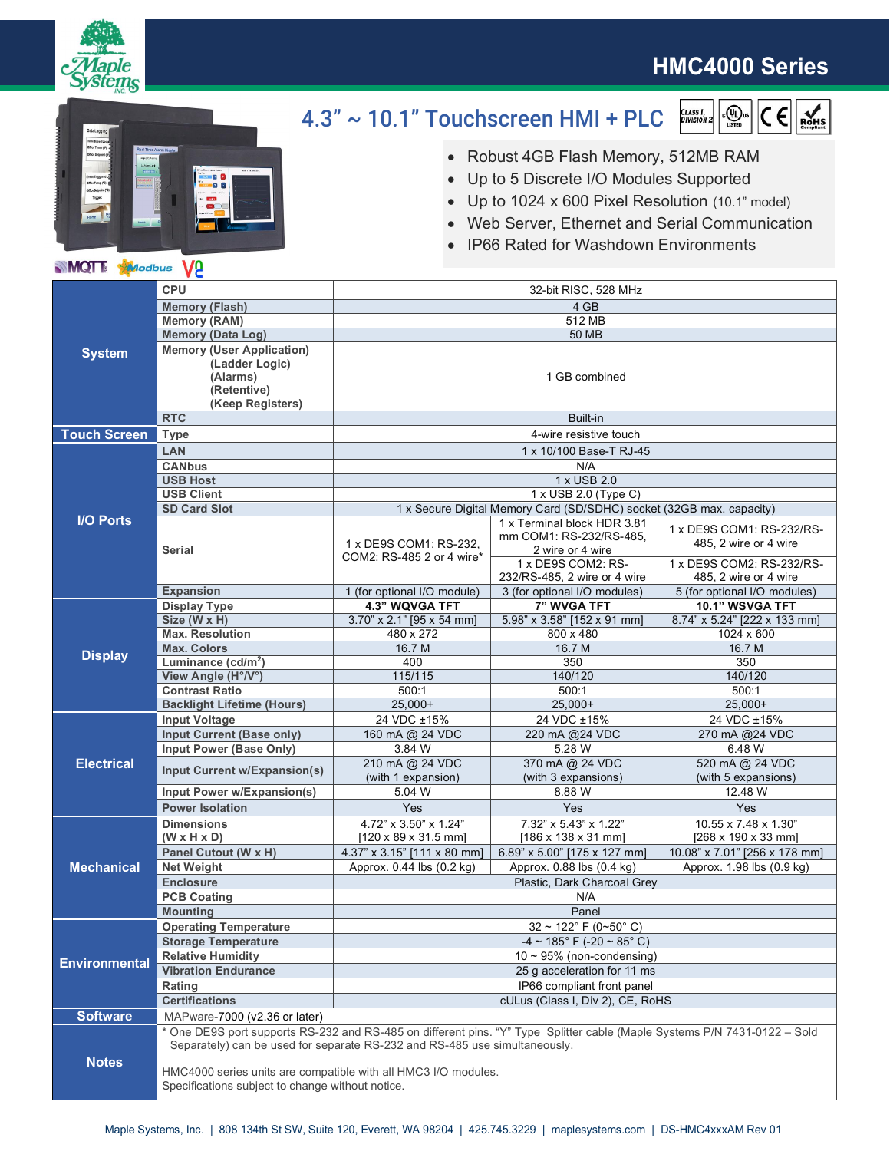

# **HMC4000 Series**



#### 4.3" ~ 10.1" Touchscreen HMI + PLC  $\begin{matrix} \begin{smallmatrix} 0 \\ 0 \end{smallmatrix} \end{matrix}$ us  $|C \in \left| \sum_{R \leq m}$ CLASS I,<br>Division 2

- ∂ Robust 4GB Flash Memory, 512MB RAM
- ∂ Up to 5 Discrete I/O Modules Supported
- ∂ Up to 1024 x 600 Pixel Resolution (10.1" model)
- ∂ Web Server, Ethernet and Serial Communication
- IP66 Rated for Washdown Environments

### **MQT** Modbus V<sub>2</sub>

| <b>System</b>        | <b>CPU</b>                                                                                                                                                                                              | 32-bit RISC, 528 MHz                                                 |                                                    |                                                    |
|----------------------|---------------------------------------------------------------------------------------------------------------------------------------------------------------------------------------------------------|----------------------------------------------------------------------|----------------------------------------------------|----------------------------------------------------|
|                      | <b>Memory (Flash)</b>                                                                                                                                                                                   | 4 GB                                                                 |                                                    |                                                    |
|                      | <b>Memory (RAM)</b>                                                                                                                                                                                     | 512 MB                                                               |                                                    |                                                    |
|                      | <b>Memory (Data Log)</b>                                                                                                                                                                                | 50 MB                                                                |                                                    |                                                    |
|                      | <b>Memory (User Application)</b><br>(Ladder Logic)<br>(Alarms)                                                                                                                                          | 1 GB combined                                                        |                                                    |                                                    |
|                      | (Retentive)<br>(Keep Registers)                                                                                                                                                                         |                                                                      |                                                    |                                                    |
|                      | <b>RTC</b>                                                                                                                                                                                              | Built-in                                                             |                                                    |                                                    |
| <b>Touch Screen</b>  | <b>Type</b>                                                                                                                                                                                             | 4-wire resistive touch                                               |                                                    |                                                    |
|                      |                                                                                                                                                                                                         | 1 x 10/100 Base-T RJ-45                                              |                                                    |                                                    |
| <b>I/O Ports</b>     | <b>LAN</b><br><b>CANbus</b>                                                                                                                                                                             | N/A                                                                  |                                                    |                                                    |
|                      | <b>USB Host</b>                                                                                                                                                                                         | 1 x USB 2.0                                                          |                                                    |                                                    |
|                      | <b>USB Client</b>                                                                                                                                                                                       | 1 x USB 2.0 (Type C)                                                 |                                                    |                                                    |
|                      | <b>SD Card Slot</b>                                                                                                                                                                                     | 1 x Secure Digital Memory Card (SD/SDHC) socket (32GB max. capacity) |                                                    |                                                    |
|                      |                                                                                                                                                                                                         | 1 x Terminal block HDR 3.81                                          |                                                    |                                                    |
|                      | <b>Serial</b>                                                                                                                                                                                           | 1 x DE9S COM1: RS-232,<br>COM2: RS-485 2 or 4 wire*                  | mm COM1: RS-232/RS-485,<br>2 wire or 4 wire        | 1 x DE9S COM1: RS-232/RS-<br>485, 2 wire or 4 wire |
|                      |                                                                                                                                                                                                         |                                                                      | 1 x DE9S COM2: RS-<br>232/RS-485, 2 wire or 4 wire | 1 x DE9S COM2: RS-232/RS-<br>485, 2 wire or 4 wire |
|                      | <b>Expansion</b>                                                                                                                                                                                        | 1 (for optional I/O module)                                          | 3 (for optional I/O modules)                       | 5 (for optional I/O modules)                       |
| <b>Display</b>       | <b>Display Type</b>                                                                                                                                                                                     | 4.3" WQVGA TFT                                                       | 7" WVGA TFT                                        | 10.1" WSVGA TFT                                    |
|                      | Size (W x H)                                                                                                                                                                                            | 3.70" x 2.1" [95 x 54 mm]                                            | 5.98" x 3.58" [152 x 91 mm]                        | 8.74" x 5.24" [222 x 133 mm]                       |
|                      | <b>Max. Resolution</b>                                                                                                                                                                                  | 480 x 272                                                            | 800 x 480                                          | 1024 x 600                                         |
|                      | <b>Max. Colors</b>                                                                                                                                                                                      | 16.7 M                                                               | 16.7 M                                             | 16.7 M                                             |
|                      | Luminance (cd/m <sup>2</sup> )                                                                                                                                                                          | 400                                                                  | 350<br>140/120                                     | 350                                                |
|                      | View Angle (H°/V°)                                                                                                                                                                                      | 115/115<br>500:1                                                     | 500:1                                              | 140/120<br>500:1                                   |
|                      | <b>Contrast Ratio</b><br><b>Backlight Lifetime (Hours)</b>                                                                                                                                              | $25,000+$                                                            | $25,000+$                                          | $25,000+$                                          |
| <b>Electrical</b>    | <b>Input Voltage</b>                                                                                                                                                                                    | 24 VDC ±15%                                                          | 24 VDC ±15%                                        | 24 VDC ±15%                                        |
|                      | Input Current (Base only)                                                                                                                                                                               | 160 mA @ 24 VDC                                                      | 220 mA @24 VDC                                     | 270 mA @24 VDC                                     |
|                      | Input Power (Base Only)                                                                                                                                                                                 | 3.84 W                                                               | 5.28 W                                             | 6.48 W                                             |
|                      |                                                                                                                                                                                                         | 210 mA @ 24 VDC                                                      | 370 mA @ 24 VDC                                    | 520 mA @ 24 VDC                                    |
|                      | Input Current w/Expansion(s)                                                                                                                                                                            | (with 1 expansion)                                                   | (with 3 expansions)                                | (with 5 expansions)                                |
|                      | Input Power w/Expansion(s)                                                                                                                                                                              | 5.04 W                                                               | 8.88 W                                             | 12.48 W                                            |
|                      | <b>Power Isolation</b>                                                                                                                                                                                  | Yes                                                                  | Yes                                                | Yes                                                |
| <b>Mechanical</b>    | <b>Dimensions</b>                                                                                                                                                                                       | 4.72" x 3.50" x 1.24"                                                | 7.32" x 5.43" x 1.22"                              | 10.55 x 7.48 x 1.30"                               |
|                      | $(W \times H \times D)$                                                                                                                                                                                 | $[120 \times 89 \times 31.5 \text{ mm}]$                             | $[186 \times 138 \times 31 \text{ mm}]$            | [268 x 190 x 33 mm]                                |
|                      | Panel Cutout (W x H)                                                                                                                                                                                    | 4.37" x 3.15" [111 x 80 mm]                                          | 6.89" x 5.00" [175 x 127 mm]                       | 10.08" x 7.01" [256 x 178 mm]                      |
|                      | <b>Net Weight</b>                                                                                                                                                                                       | Approx. 0.44 lbs (0.2 kg)                                            | Approx. 0.88 lbs (0.4 kg)                          | Approx. 1.98 lbs (0.9 kg)                          |
|                      | <b>Enclosure</b>                                                                                                                                                                                        | Plastic, Dark Charcoal Grey                                          |                                                    |                                                    |
|                      | <b>PCB Coating</b>                                                                                                                                                                                      | N/A                                                                  |                                                    |                                                    |
|                      | <b>Mounting</b>                                                                                                                                                                                         | Panel                                                                |                                                    |                                                    |
| <b>Environmental</b> | <b>Operating Temperature</b>                                                                                                                                                                            | $32 \sim 122$ °F (0~50°C)                                            |                                                    |                                                    |
|                      | <b>Storage Temperature</b>                                                                                                                                                                              | $-4 \sim 185^{\circ}$ F $(-20 \sim 85^{\circ}$ C)                    |                                                    |                                                    |
|                      | <b>Relative Humidity</b>                                                                                                                                                                                | $10 \sim 95\%$ (non-condensing)                                      |                                                    |                                                    |
|                      | <b>Vibration Endurance</b>                                                                                                                                                                              | 25 g acceleration for 11 ms                                          |                                                    |                                                    |
|                      | Rating                                                                                                                                                                                                  | IP66 compliant front panel                                           |                                                    |                                                    |
|                      | <b>Certifications</b>                                                                                                                                                                                   | cULus (Class I, Div 2), CE, RoHS                                     |                                                    |                                                    |
| <b>Software</b>      | MAPware-7000 (v2.36 or later)                                                                                                                                                                           |                                                                      |                                                    |                                                    |
| <b>Notes</b>         | * One DE9S port supports RS-232 and RS-485 on different pins. "Y" Type Splitter cable (Maple Systems P/N 7431-0122 - Sold<br>Separately) can be used for separate RS-232 and RS-485 use simultaneously. |                                                                      |                                                    |                                                    |
|                      | HMC4000 series units are compatible with all HMC3 I/O modules.<br>Specifications subject to change without notice.                                                                                      |                                                                      |                                                    |                                                    |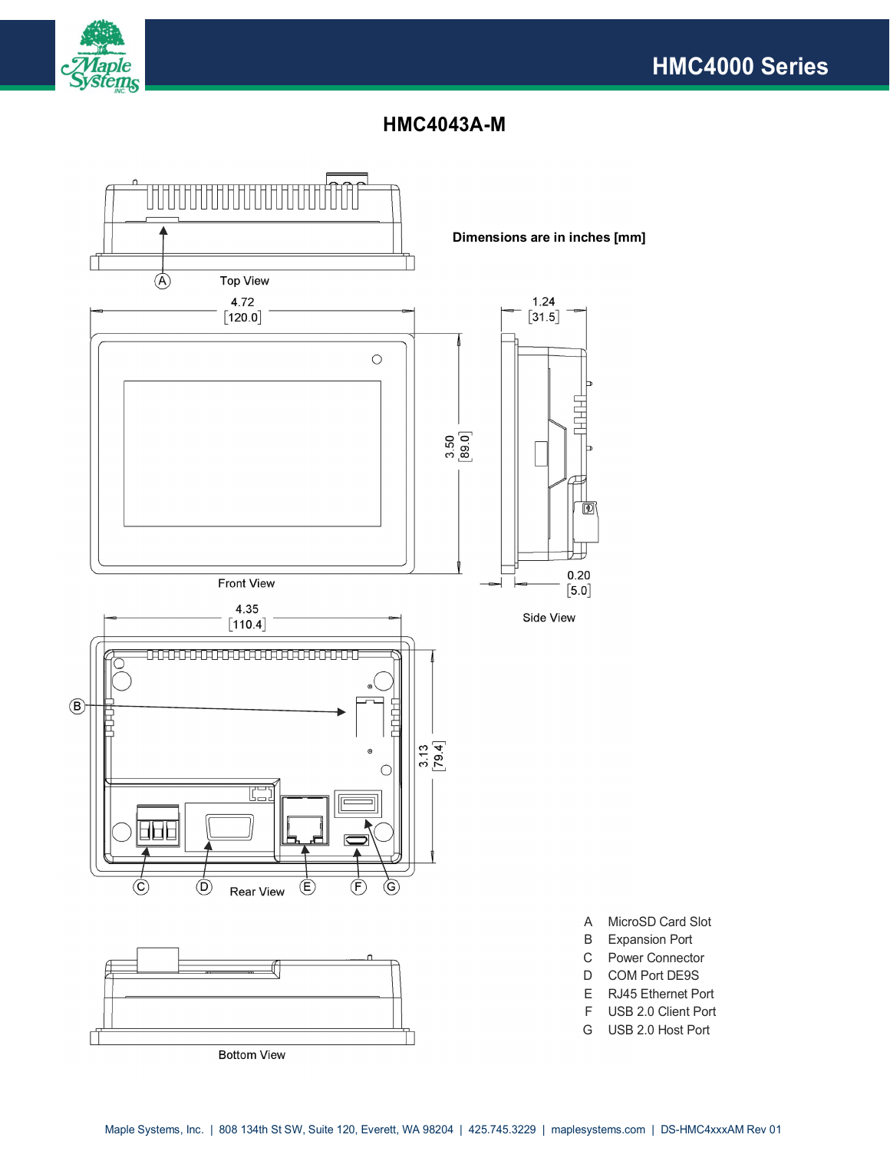



### **HMC4043A-M**

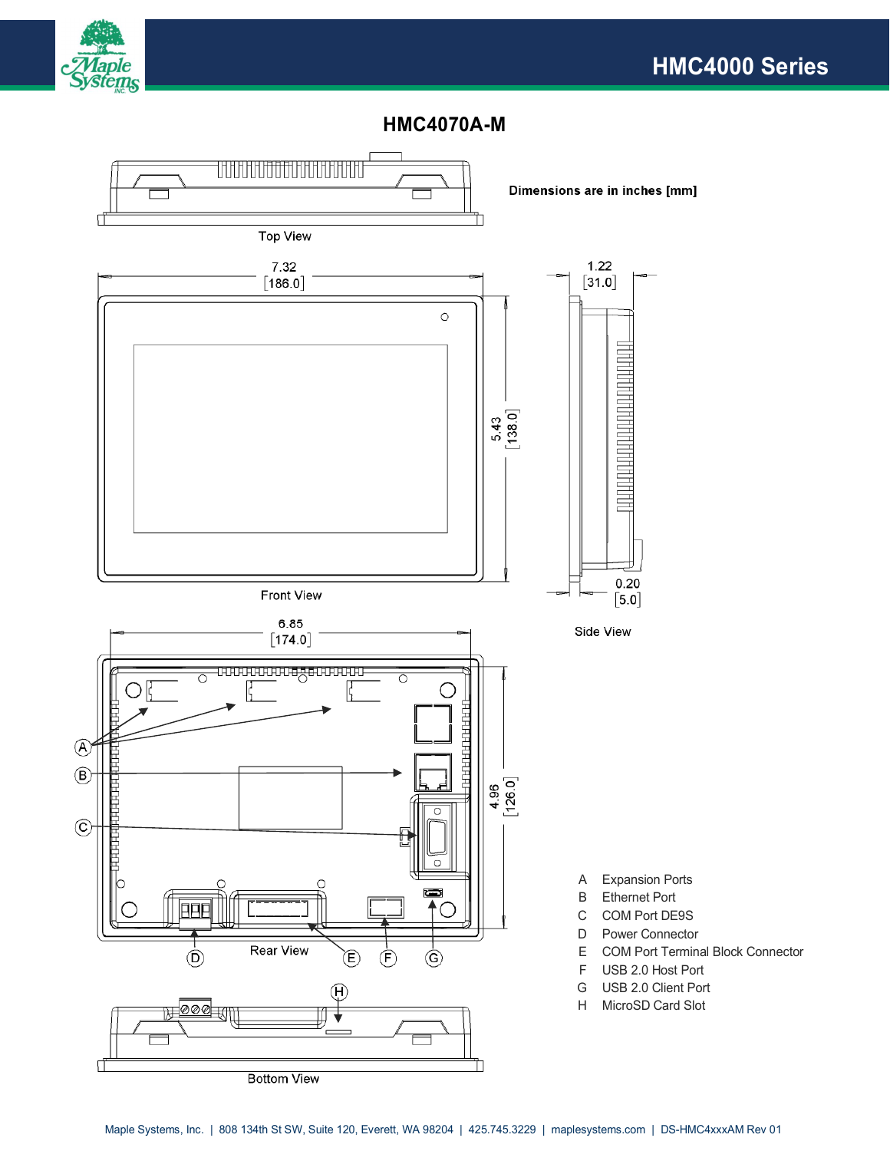